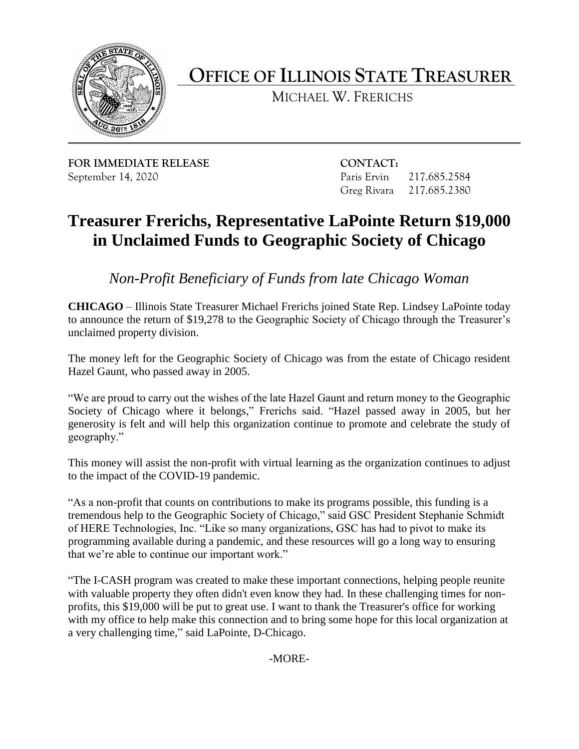

**OFFICE OF ILLINOIS STATE TREASURER** 

MICHAEL W. FRERICHS

**FOR IMMEDIATE RELEASE CONTACT:**  September 14, 2020 Paris Ervin 217.685.2584

Greg Rivara 217.685.2380

## **Treasurer Frerichs, Representative LaPointe Return \$19,000 in Unclaimed Funds to Geographic Society of Chicago**

*Non-Profit Beneficiary of Funds from late Chicago Woman* 

 to announce the return of \$19,278 to the Geographic Society of Chicago through the Treasurer's **CHICAGO** – Illinois State Treasurer Michael Frerichs joined State Rep. Lindsey LaPointe today unclaimed property division.

 The money left for the Geographic Society of Chicago was from the estate of Chicago resident Hazel Gaunt, who passed away in 2005.

 "We are proud to carry out the wishes of the late Hazel Gaunt and return money to the Geographic Society of Chicago where it belongs," Frerichs said. "Hazel passed away in 2005, but her generosity is felt and will help this organization continue to promote and celebrate the study of geography."

 This money will assist the non-profit with virtual learning as the organization continues to adjust to the impact of the COVID-19 pandemic.

"As a non-profit that counts on contributions to make its programs possible, this funding is a tremendous help to the Geographic Society of Chicago," said GSC President Stephanie Schmidt of HERE Technologies, Inc. "Like so many organizations, GSC has had to pivot to make its programming available during a pandemic, and these resources will go a long way to ensuring that we're able to continue our important work."

"The I-CASH program was created to make these important connections, helping people reunite with valuable property they often didn't even know they had. In these challenging times for nonprofits, this \$19,000 will be put to great use. I want to thank the Treasurer's office for working with my office to help make this connection and to bring some hope for this local organization at a very challenging time," said LaPointe, D-Chicago.

-MORE-